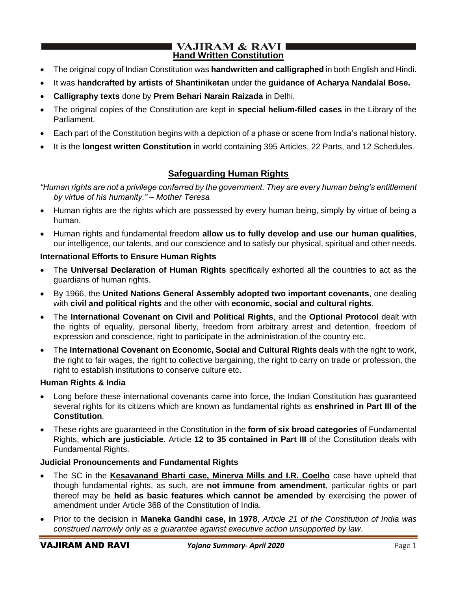### **VAJIRAM & RAVI I Hand Written Constitution**

- The original copy of Indian Constitution was **handwritten and calligraphed** in both English and Hindi.
- It was **handcrafted by artists of Shantiniketan** under the **guidance of Acharya Nandalal Bose.**
- **Calligraphy texts** done by **Prem Behari Narain Raizada** in Delhi.
- The original copies of the Constitution are kept in **special helium-filled cases** in the Library of the Parliament.
- Each part of the Constitution begins with a depiction of a phase or scene from India's national history.
- It is the **longest written Constitution** in world containing 395 Articles, 22 Parts, and 12 Schedules.

## **Safeguarding Human Rights**

*"Human rights are not a privilege conferred by the government. They are every human being's entitlement by virtue of his humanity." – Mother Teresa* 

- Human rights are the rights which are possessed by every human being, simply by virtue of being a human.
- Human rights and fundamental freedom **allow us to fully develop and use our human qualities**, our intelligence, our talents, and our conscience and to satisfy our physical, spiritual and other needs.

## **International Efforts to Ensure Human Rights**

- The **Universal Declaration of Human Rights** specifically exhorted all the countries to act as the guardians of human rights.
- By 1966, the **United Nations General Assembly adopted two important covenants**, one dealing with **civil and political rights** and the other with **economic, social and cultural rights**.
- The **International Covenant on Civil and Political Rights**, and the **Optional Protocol** dealt with the rights of equality, personal liberty, freedom from arbitrary arrest and detention, freedom of expression and conscience, right to participate in the administration of the country etc.
- The **International Covenant on Economic, Social and Cultural Rights** deals with the right to work, the right to fair wages, the right to collective bargaining, the right to carry on trade or profession, the right to establish institutions to conserve culture etc.

## **Human Rights & India**

- Long before these international covenants came into force, the Indian Constitution has guaranteed several rights for its citizens which are known as fundamental rights as **enshrined in Part III of the Constitution**.
- These rights are guaranteed in the Constitution in the **form of six broad categories** of Fundamental Rights, **which are justiciable**. Article **12 to 35 contained in Part III** of the Constitution deals with Fundamental Rights.

## **Judicial Pronouncements and Fundamental Rights**

- The SC in the **Kesavanand Bharti case, Minerva Mills and I.R. Coelho** case have upheld that though fundamental rights, as such, are **not immune from amendment**, particular rights or part thereof may be **held as basic features which cannot be amended** by exercising the power of amendment under Article 368 of the Constitution of India.
- Prior to the decision in **Maneka Gandhi case, in 1978**, *Article 21 of the Constitution of India was construed narrowly only as a guarantee against executive action unsupported by law*.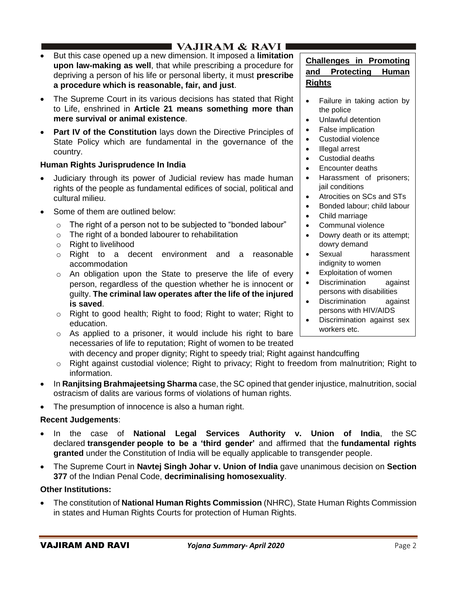# I VAJIRAM & RAVI I

- But this case opened up a new dimension. It imposed a **limitation upon law-making as well**, that while prescribing a procedure for depriving a person of his life or personal liberty, it must **prescribe a procedure which is reasonable, fair, and just**.
- The Supreme Court in its various decisions has stated that Right to Life, enshrined in **Article 21 means something more than mere survival or animal existence**.
- **Part IV of the Constitution** lays down the Directive Principles of State Policy which are fundamental in the governance of the country.

## **Human Rights Jurisprudence In India**

- Judiciary through its power of Judicial review has made human rights of the people as fundamental edifices of social, political and cultural milieu.
- Some of them are outlined below:
	- $\circ$  The right of a person not to be subjected to "bonded labour"
	- o The right of a bonded labourer to rehabilitation
	- o Right to livelihood
	- o Right to a decent environment and a reasonable accommodation
	- o An obligation upon the State to preserve the life of every person, regardless of the question whether he is innocent or guilty. **The criminal law operates after the life of the injured is saved**.
	- o Right to good health; Right to food; Right to water; Right to education.
	- o As applied to a prisoner, it would include his right to bare necessaries of life to reputation; Right of women to be treated
- **Challenges in Promoting and Protecting Human Rights**
- Failure in taking action by the police
- Unlawful detention
- False implication
- Custodial violence
- Illegal arrest
- Custodial deaths
- Encounter deaths
- Harassment of prisoners; jail conditions
- Atrocities on SCs and STs
- Bonded labour; child labour
- Child marriage
- Communal violence
- Dowry death or its attempt; dowry demand
- Sexual harassment indignity to women
- Exploitation of women
- Discrimination against persons with disabilities
- Discrimination against persons with HIV/AIDS
- Discrimination against sex workers etc.

with decency and proper dignity; Right to speedy trial; Right against handcuffing

- o Right against custodial violence; Right to privacy; Right to freedom from malnutrition; Right to information.
- In **Ranjitsing Brahmajeetsing Sharma** case, the SC opined that gender injustice, malnutrition, social ostracism of dalits are various forms of violations of human rights.
- The presumption of innocence is also a human right.

## **Recent Judgements**:

- In the case of **National Legal Services Authority v. Union of India**, the SC declared **transgender people to be a 'third gender'** and affirmed that the **fundamental rights granted** under the Constitution of India will be equally applicable to transgender people.
- The Supreme Court in **Navtej Singh Johar v. Union of India** gave unanimous decision on **Section 377** of the Indian Penal Code, **decriminalising homosexuality**.

## **Other Institutions:**

• The constitution of **National Human Rights Commission** (NHRC), State Human Rights Commission in states and Human Rights Courts for protection of Human Rights.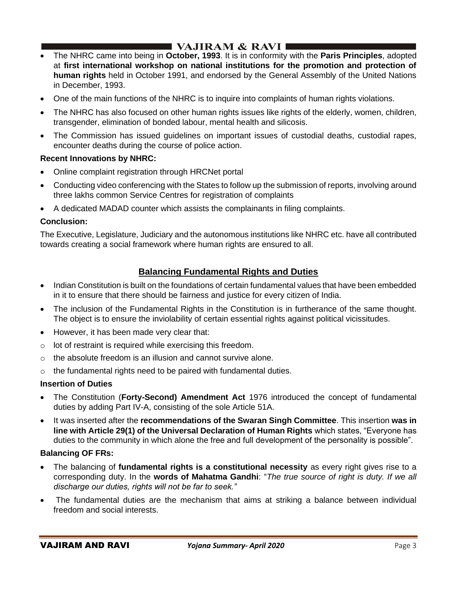# $\blacksquare$  VAJIRAM & RAVI

- The NHRC came into being in **October, 1993**. It is in conformity with the **Paris Principles**, adopted at **first international workshop on national institutions for the promotion and protection of human rights** held in October 1991, and endorsed by the General Assembly of the United Nations in December, 1993.
- One of the main functions of the NHRC is to inquire into complaints of human rights violations.
- The NHRC has also focused on other human rights issues like rights of the elderly, women, children, transgender, elimination of bonded labour, mental health and silicosis.
- The Commission has issued guidelines on important issues of custodial deaths, custodial rapes, encounter deaths during the course of police action.

## **Recent Innovations by NHRC:**

- Online complaint registration through HRCNet portal
- Conducting video conferencing with the States to follow up the submission of reports, involving around three lakhs common Service Centres for registration of complaints
- A dedicated MADAD counter which assists the complainants in filing complaints.

## **Conclusion:**

The Executive, Legislature, Judiciary and the autonomous institutions like NHRC etc. have all contributed towards creating a social framework where human rights are ensured to all.

## **Balancing Fundamental Rights and Duties**

- Indian Constitution is built on the foundations of certain fundamental values that have been embedded in it to ensure that there should be fairness and justice for every citizen of India.
- The inclusion of the Fundamental Rights in the Constitution is in furtherance of the same thought. The object is to ensure the inviolability of certain essential rights against political vicissitudes.
- However, it has been made very clear that:
- o lot of restraint is required while exercising this freedom.
- o the absolute freedom is an illusion and cannot survive alone.
- o the fundamental rights need to be paired with fundamental duties.

#### **Insertion of Duties**

- The Constitution (**Forty-Second) Amendment Act** 1976 introduced the concept of fundamental duties by adding Part IV-A, consisting of the sole Article 51A.
- It was inserted after the **recommendations of the Swaran Singh Committee**. This insertion **was in line with Article 29(1) of the Universal Declaration of Human Rights** which states, "Everyone has duties to the community in which alone the free and full development of the personality is possible".

#### **Balancing OF FRs:**

- The balancing of **fundamental rights is a constitutional necessity** as every right gives rise to a corresponding duty. In the **words of Mahatma Gandhi**: "*The true source of right is duty. If we all discharge our duties, rights will not be far to seek."*
- The fundamental duties are the mechanism that aims at striking a balance between individual freedom and social interests.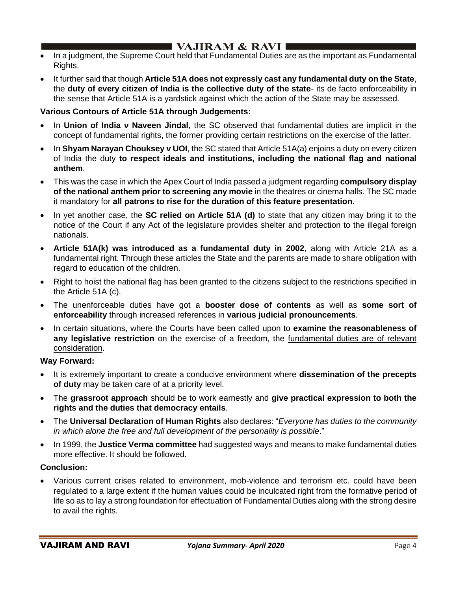# $\blacksquare$  VAJIRAM & RAVI

- In a judgment, the Supreme Court held that Fundamental Duties are as the important as Fundamental Rights.
- It further said that though **Article 51A does not expressly cast any fundamental duty on the State**, the **duty of every citizen of India is the collective duty of the state**- its de facto enforceability in the sense that Article 51A is a yardstick against which the action of the State may be assessed.

## **Various Contours of Article 51A through Judgements:**

- In **Union of India v Naveen Jindal**, the SC observed that fundamental duties are implicit in the concept of fundamental rights, the former providing certain restrictions on the exercise of the latter.
- In **Shyam Narayan Chouksey v UOI**, the SC stated that Article 51A(a) enjoins a duty on every citizen of India the duty **to respect ideals and institutions, including the national flag and national anthem**.
- This was the case in which the Apex Court of India passed a judgment regarding **compulsory display of the national anthem prior to screening any movie** in the theatres or cinema halls. The SC made it mandatory for **all patrons to rise for the duration of this feature presentation**.
- In yet another case, the **SC relied on Article 51A (d)** to state that any citizen may bring it to the notice of the Court if any Act of the legislature provides shelter and protection to the illegal foreign nationals.
- **Article 51A(k) was introduced as a fundamental duty in 2002**, along with Article 21A as a fundamental right. Through these articles the State and the parents are made to share obligation with regard to education of the children.
- Right to hoist the national flag has been granted to the citizens subject to the restrictions specified in the Article 51A (c).
- The unenforceable duties have got a **booster dose of contents** as well as **some sort of enforceability** through increased references in **various judicial pronouncements**.
- In certain situations, where the Courts have been called upon to **examine the reasonableness of any legislative restriction** on the exercise of a freedom, the fundamental duties are of relevant consideration.

## **Way Forward:**

- It is extremely important to create a conducive environment where **dissemination of the precepts of duty** may be taken care of at a priority level.
- The **grassroot approach** should be to work earnestly and **give practical expression to both the rights and the duties that democracy entails**.
- The **Universal Declaration of Human Rights** also declares: "*Everyone has duties to the community in which alone the free and full development of the personality is possible*."
- In 1999, the **Justice Verma committee** had suggested ways and means to make fundamental duties more effective. It should be followed.

## **Conclusion:**

• Various current crises related to environment, mob-violence and terrorism etc. could have been regulated to a large extent if the human values could be inculcated right from the formative period of life so as to lay a strong foundation for effectuation of Fundamental Duties along with the strong desire to avail the rights.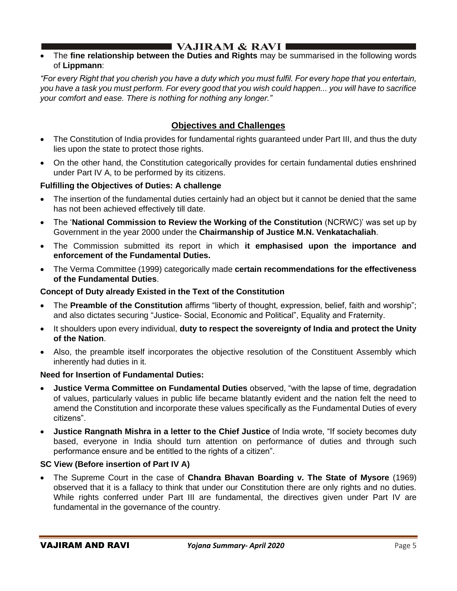• The **fine relationship between the Duties and Rights** may be summarised in the following words of **Lippmann**:

*"For every Right that you cherish you have a duty which you must fulfil. For every hope that you entertain, you have a task you must perform. For every good that you wish could happen... you will have to sacrifice your comfort and ease. There is nothing for nothing any longer."*

## **Objectives and Challenges**

- The Constitution of India provides for fundamental rights guaranteed under Part III, and thus the duty lies upon the state to protect those rights.
- On the other hand, the Constitution categorically provides for certain fundamental duties enshrined under Part IV A, to be performed by its citizens.

## **Fulfilling the Objectives of Duties: A challenge**

- The insertion of the fundamental duties certainly had an object but it cannot be denied that the same has not been achieved effectively till date.
- The '**National Commission to Review the Working of the Constitution** (NCRWC)' was set up by Government in the year 2000 under the **Chairmanship of Justice M.N. Venkatachaliah**.
- The Commission submitted its report in which **it emphasised upon the importance and enforcement of the Fundamental Duties.**
- The Verma Committee (1999) categorically made **certain recommendations for the effectiveness of the Fundamental Duties**.

## **Concept of Duty already Existed in the Text of the Constitution**

- The **Preamble of the Constitution** affirms "liberty of thought, expression, belief, faith and worship"; and also dictates securing "Justice- Social, Economic and Political", Equality and Fraternity.
- It shoulders upon every individual, **duty to respect the sovereignty of India and protect the Unity of the Nation**.
- Also, the preamble itself incorporates the objective resolution of the Constituent Assembly which inherently had duties in it.

## **Need for Insertion of Fundamental Duties:**

- **Justice Verma Committee on Fundamental Duties** observed, "with the lapse of time, degradation of values, particularly values in public life became blatantly evident and the nation felt the need to amend the Constitution and incorporate these values specifically as the Fundamental Duties of every citizens".
- **Justice Rangnath Mishra in a letter to the Chief Justice** of India wrote, "If society becomes duty based, everyone in India should turn attention on performance of duties and through such performance ensure and be entitled to the rights of a citizen".

## **SC View (Before insertion of Part IV A)**

• The Supreme Court in the case of **Chandra Bhavan Boarding v. The State of Mysore** (1969) observed that it is a fallacy to think that under our Constitution there are only rights and no duties. While rights conferred under Part III are fundamental, the directives given under Part IV are fundamental in the governance of the country.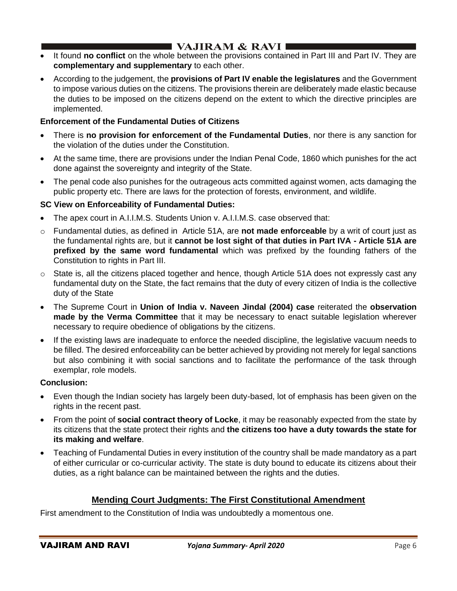# **I VAJIRAM & RAVI**  $\blacksquare$

- It found **no conflict** on the whole between the provisions contained in Part III and Part IV. They are **complementary and supplementary** to each other.
- According to the judgement, the **provisions of Part IV enable the legislatures** and the Government to impose various duties on the citizens. The provisions therein are deliberately made elastic because the duties to be imposed on the citizens depend on the extent to which the directive principles are implemented.

## **Enforcement of the Fundamental Duties of Citizens**

- There is **no provision for enforcement of the Fundamental Duties**, nor there is any sanction for the violation of the duties under the Constitution.
- At the same time, there are provisions under the Indian Penal Code, 1860 which punishes for the act done against the sovereignty and integrity of the State.
- The penal code also punishes for the outrageous acts committed against women, acts damaging the public property etc. There are laws for the protection of forests, environment, and wildlife.

## **SC View on Enforceability of Fundamental Duties:**

- The apex court in A.I.I.M.S. Students Union v. A.I.I.M.S. case observed that:
- o Fundamental duties, as defined in Article 51A, are **not made enforceable** by a writ of court just as the fundamental rights are, but it **cannot be lost sight of that duties in Part IVA - Article 51A are prefixed by the same word fundamental** which was prefixed by the founding fathers of the Constitution to rights in Part III.
- $\circ$  State is, all the citizens placed together and hence, though Article 51A does not expressly cast any fundamental duty on the State, the fact remains that the duty of every citizen of India is the collective duty of the State
- The Supreme Court in **Union of India v. Naveen Jindal (2004) case** reiterated the **observation made by the Verma Committee** that it may be necessary to enact suitable legislation wherever necessary to require obedience of obligations by the citizens.
- If the existing laws are inadequate to enforce the needed discipline, the legislative vacuum needs to be filled. The desired enforceability can be better achieved by providing not merely for legal sanctions but also combining it with social sanctions and to facilitate the performance of the task through exemplar, role models.

## **Conclusion:**

- Even though the Indian society has largely been duty-based, lot of emphasis has been given on the rights in the recent past.
- From the point of **social contract theory of Locke**, it may be reasonably expected from the state by its citizens that the state protect their rights and **the citizens too have a duty towards the state for its making and welfare**.
- Teaching of Fundamental Duties in every institution of the country shall be made mandatory as a part of either curricular or co-curricular activity. The state is duty bound to educate its citizens about their duties, as a right balance can be maintained between the rights and the duties.

## **Mending Court Judgments: The First Constitutional Amendment**

First amendment to the Constitution of India was undoubtedly a momentous one.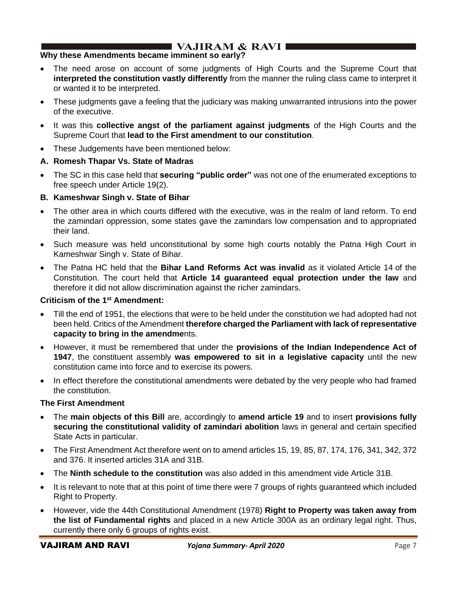## **Why these Amendments became imminent so early?**

- The need arose on account of some judgments of High Courts and the Supreme Court that **interpreted the constitution vastly differently** from the manner the ruling class came to interpret it or wanted it to be interpreted.
- These judgments gave a feeling that the judiciary was making unwarranted intrusions into the power of the executive.
- It was this **collective angst of the parliament against judgments** of the High Courts and the Supreme Court that **lead to the First amendment to our constitution**.
- These Judgements have been mentioned below:

## **A. Romesh Thapar Vs. State of Madras**

• The SC in this case held that **securing "public order"** was not one of the enumerated exceptions to free speech under Article 19(2).

## **B. Kameshwar Singh v. State of Bihar**

- The other area in which courts differed with the executive, was in the realm of land reform. To end the zamindari oppression, some states gave the zamindars low compensation and to appropriated their land.
- Such measure was held unconstitutional by some high courts notably the Patna High Court in Kameshwar Singh v. State of Bihar.
- The Patna HC held that the **Bihar Land Reforms Act was invalid** as it violated Article 14 of the Constitution. The court held that **Article 14 guaranteed equal protection under the law** and therefore it did not allow discrimination against the richer zamindars.

## **Criticism of the 1st Amendment:**

- Till the end of 1951, the elections that were to be held under the constitution we had adopted had not been held. Critics of the Amendment **therefore charged the Parliament with lack of representative capacity to bring in the amendme**nts.
- However, it must be remembered that under the **provisions of the Indian Independence Act of 1947**, the constituent assembly **was empowered to sit in a legislative capacity** until the new constitution came into force and to exercise its powers.
- In effect therefore the constitutional amendments were debated by the very people who had framed the constitution.

## **The First Amendment**

- The **main objects of this Bill** are, accordingly to **amend article 19** and to insert **provisions fully securing the constitutional validity of zamindari abolition** laws in general and certain specified State Acts in particular.
- The First Amendment Act therefore went on to amend articles 15, 19, 85, 87, 174, 176, 341, 342, 372 and 376. It inserted articles 31A and 31B.
- The **Ninth schedule to the constitution** was also added in this amendment vide Article 31B.
- It is relevant to note that at this point of time there were 7 groups of rights guaranteed which included Right to Property.
- However, vide the 44th Constitutional Amendment (1978) **Right to Property was taken away from the list of Fundamental rights** and placed in a new Article 300A as an ordinary legal right. Thus, currently there only 6 groups of rights exist.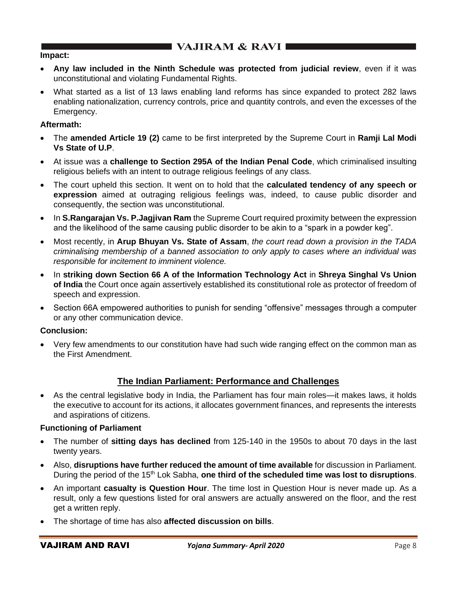#### **Impact:**

- **Any law included in the Ninth Schedule was protected from judicial review**, even if it was unconstitutional and violating Fundamental Rights.
- What started as a list of 13 laws enabling land reforms has since expanded to protect 282 laws enabling nationalization, currency controls, price and quantity controls, and even the excesses of the Emergency.

## **Aftermath:**

- The **amended Article 19 (2)** came to be first interpreted by the Supreme Court in **Ramji Lal Modi Vs State of U.P**.
- At issue was a **challenge to Section 295A of the Indian Penal Code**, which criminalised insulting religious beliefs with an intent to outrage religious feelings of any class.
- The court upheld this section. It went on to hold that the **calculated tendency of any speech or expression** aimed at outraging religious feelings was, indeed, to cause public disorder and consequently, the section was unconstitutional.
- In **S.Rangarajan Vs. P.Jagjivan Ram** the Supreme Court required proximity between the expression and the likelihood of the same causing public disorder to be akin to a "spark in a powder keg".
- Most recently, in **Arup Bhuyan Vs. State of Assam**, *the court read down a provision in the TADA criminalising membership of a banned association to only apply to cases where an individual was responsible for incitement to imminent violence.*
- In **striking down Section 66 A of the Information Technology Act** in **Shreya Singhal Vs Union of India** the Court once again assertively established its constitutional role as protector of freedom of speech and expression.
- Section 66A empowered authorities to punish for sending "offensive" messages through a computer or any other communication device.

## **Conclusion:**

• Very few amendments to our constitution have had such wide ranging effect on the common man as the First Amendment.

## **The Indian Parliament: Performance and Challenges**

• As the central legislative body in India, the Parliament has four main roles—it makes laws, it holds the executive to account for its actions, it allocates government finances, and represents the interests and aspirations of citizens.

## **Functioning of Parliament**

- The number of **sitting days has declined** from 125-140 in the 1950s to about 70 days in the last twenty years.
- Also, **disruptions have further reduced the amount of time available** for discussion in Parliament. During the period of the 15th Lok Sabha, **one third of the scheduled time was lost to disruptions**.
- An important **casualty is Question Hour**. The time lost in Question Hour is never made up. As a result, only a few questions listed for oral answers are actually answered on the floor, and the rest get a written reply.
- The shortage of time has also **affected discussion on bills**.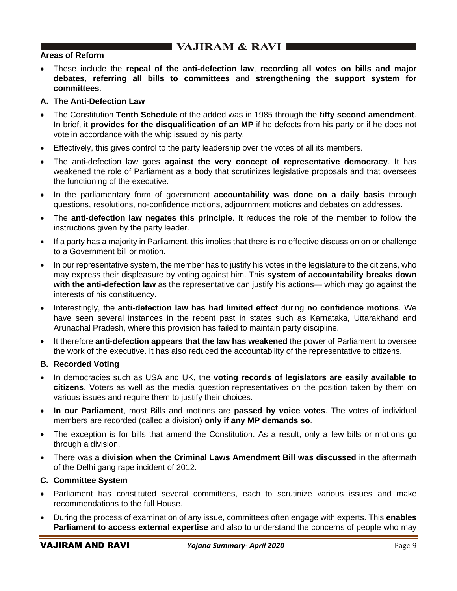## $\blacksquare$  VAJIRAM & RAVI

## **Areas of Reform**

• These include the **repeal of the anti-defection law**, **recording all votes on bills and major debates**, **referring all bills to committees** and **strengthening the support system for committees**.

### **A. The Anti-Defection Law**

- The Constitution **Tenth Schedule** of the added was in 1985 through the **fifty second amendment**. In brief, it **provides for the disqualification of an MP** if he defects from his party or if he does not vote in accordance with the whip issued by his party.
- Effectively, this gives control to the party leadership over the votes of all its members.
- The anti-defection law goes **against the very concept of representative democracy**. It has weakened the role of Parliament as a body that scrutinizes legislative proposals and that oversees the functioning of the executive.
- In the parliamentary form of government **accountability was done on a daily basis** through questions, resolutions, no-confidence motions, adjournment motions and debates on addresses.
- The **anti-defection law negates this principle**. It reduces the role of the member to follow the instructions given by the party leader.
- If a party has a majority in Parliament, this implies that there is no effective discussion on or challenge to a Government bill or motion.
- In our representative system, the member has to justify his votes in the legislature to the citizens, who may express their displeasure by voting against him. This **system of accountability breaks down with the anti-defection law** as the representative can justify his actions— which may go against the interests of his constituency.
- Interestingly, the **anti-defection law has had limited effect** during **no confidence motions**. We have seen several instances in the recent past in states such as Karnataka, Uttarakhand and Arunachal Pradesh, where this provision has failed to maintain party discipline.
- It therefore **anti-defection appears that the law has weakened** the power of Parliament to oversee the work of the executive. It has also reduced the accountability of the representative to citizens.

## **B. Recorded Voting**

- In democracies such as USA and UK, the **voting records of legislators are easily available to citizens**. Voters as well as the media question representatives on the position taken by them on various issues and require them to justify their choices.
- **In our Parliament**, most Bills and motions are **passed by voice votes**. The votes of individual members are recorded (called a division) **only if any MP demands so**.
- The exception is for bills that amend the Constitution. As a result, only a few bills or motions go through a division.
- There was a **division when the Criminal Laws Amendment Bill was discussed** in the aftermath of the Delhi gang rape incident of 2012.

#### **C. Committee System**

- Parliament has constituted several committees, each to scrutinize various issues and make recommendations to the full House.
- During the process of examination of any issue, committees often engage with experts. This **enables Parliament to access external expertise** and also to understand the concerns of people who may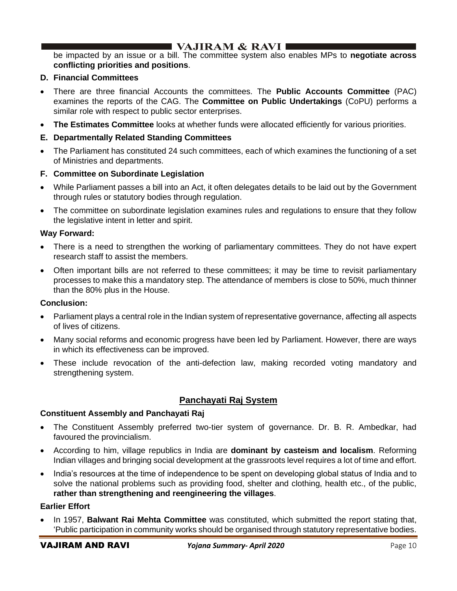be impacted by an issue or a bill. The committee system also enables MPs to **negotiate across conflicting priorities and positions**.

## **D. Financial Committees**

- There are three financial Accounts the committees. The **Public Accounts Committee** (PAC) examines the reports of the CAG. The **Committee on Public Undertakings** (CoPU) performs a similar role with respect to public sector enterprises.
- **The Estimates Committee** looks at whether funds were allocated efficiently for various priorities.
- **E. Departmentally Related Standing Committees**
- The Parliament has constituted 24 such committees, each of which examines the functioning of a set of Ministries and departments.

## **F. Committee on Subordinate Legislation**

- While Parliament passes a bill into an Act, it often delegates details to be laid out by the Government through rules or statutory bodies through regulation.
- The committee on subordinate legislation examines rules and regulations to ensure that they follow the legislative intent in letter and spirit.

## **Way Forward:**

- There is a need to strengthen the working of parliamentary committees. They do not have expert research staff to assist the members.
- Often important bills are not referred to these committees; it may be time to revisit parliamentary processes to make this a mandatory step. The attendance of members is close to 50%, much thinner than the 80% plus in the House.

#### **Conclusion:**

- Parliament plays a central role in the Indian system of representative governance, affecting all aspects of lives of citizens.
- Many social reforms and economic progress have been led by Parliament. However, there are ways in which its effectiveness can be improved.
- These include revocation of the anti-defection law, making recorded voting mandatory and strengthening system.

## **Panchayati Raj System**

#### **Constituent Assembly and Panchayati Raj**

- The Constituent Assembly preferred two-tier system of governance. Dr. B. R. Ambedkar, had favoured the provincialism.
- According to him, village republics in India are **dominant by casteism and localism**. Reforming Indian villages and bringing social development at the grassroots level requires a lot of time and effort.
- India's resources at the time of independence to be spent on developing global status of India and to solve the national problems such as providing food, shelter and clothing, health etc., of the public, **rather than strengthening and reengineering the villages**.

#### **Earlier Effort**

• In 1957, **Balwant Rai Mehta Committee** was constituted, which submitted the report stating that, 'Public participation in community works should be organised through statutory representative bodies.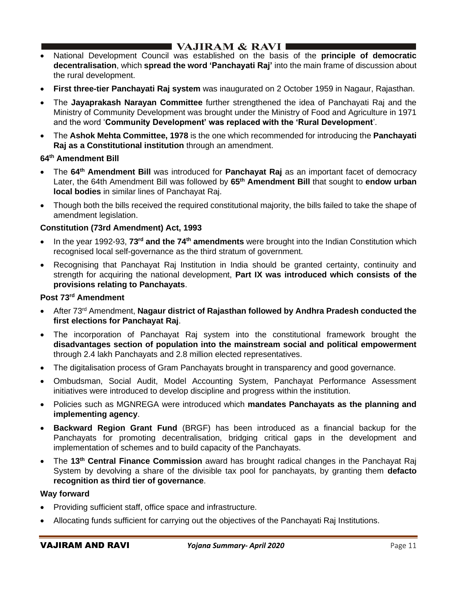## **I VAJIRAM & RAVI**  $\blacksquare$

- National Development Council was established on the basis of the **principle of democratic decentralisation**, which **spread the word 'Panchayati Raj'** into the main frame of discussion about the rural development.
- **First three-tier Panchayati Raj system** was inaugurated on 2 October 1959 in Nagaur, Rajasthan.
- The **Jayaprakash Narayan Committee** further strengthened the idea of Panchayati Raj and the Ministry of Community Development was brought under the Ministry of Food and Agriculture in 1971 and the word '**Community Development' was replaced with the 'Rural Development**'.
- The **Ashok Mehta Committee, 1978** is the one which recommended for introducing the **Panchayati Raj as a Constitutional institution** through an amendment.

## **64th Amendment Bill**

- The **64th Amendment Bill** was introduced for **Panchayat Raj** as an important facet of democracy Later, the 64th Amendment Bill was followed by **65th Amendment Bill** that sought to **endow urban local bodies** in similar lines of Panchayat Raj.
- Though both the bills received the required constitutional majority, the bills failed to take the shape of amendment legislation.

## **Constitution (73rd Amendment) Act, 1993**

- In the year 1992-93, **73rd and the 74th amendments** were brought into the Indian Constitution which recognised local self-governance as the third stratum of government.
- Recognising that Panchayat Raj Institution in India should be granted certainty, continuity and strength for acquiring the national development, **Part IX was introduced which consists of the provisions relating to Panchayats**.

## **Post 73rd Amendment**

- After 73<sup>rd</sup> Amendment, **Nagaur district of Rajasthan followed by Andhra Pradesh conducted the first elections for Panchayat Raj**.
- The incorporation of Panchayat Raj system into the constitutional framework brought the **disadvantages section of population into the mainstream social and political empowerment** through 2.4 lakh Panchayats and 2.8 million elected representatives.
- The digitalisation process of Gram Panchayats brought in transparency and good governance.
- Ombudsman, Social Audit, Model Accounting System, Panchayat Performance Assessment initiatives were introduced to develop discipline and progress within the institution.
- Policies such as MGNREGA were introduced which **mandates Panchayats as the planning and implementing agency**.
- **Backward Region Grant Fund** (BRGF) has been introduced as a financial backup for the Panchayats for promoting decentralisation, bridging critical gaps in the development and implementation of schemes and to build capacity of the Panchayats.
- The **13th Central Finance Commission** award has brought radical changes in the Panchayat Raj System by devolving a share of the divisible tax pool for panchayats, by granting them **defacto recognition as third tier of governance**.

## **Way forward**

- Providing sufficient staff, office space and infrastructure.
- Allocating funds sufficient for carrying out the objectives of the Panchayati Raj Institutions.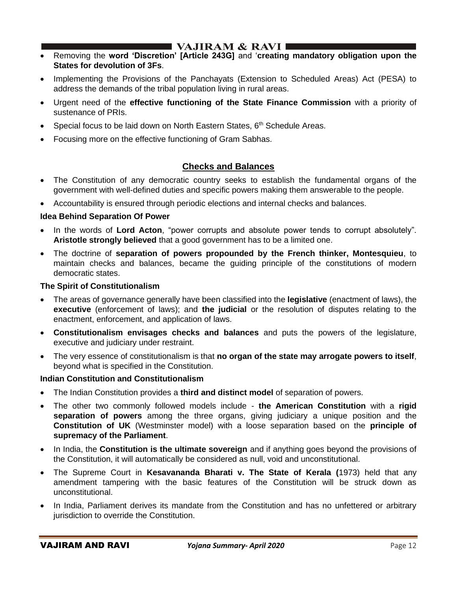- Removing the **word 'Discretion' [Article 243G]** and '**creating mandatory obligation upon the States for devolution of 3Fs**.
- Implementing the Provisions of the Panchayats (Extension to Scheduled Areas) Act (PESA) to address the demands of the tribal population living in rural areas.
- Urgent need of the **effective functioning of the State Finance Commission** with a priority of sustenance of PRIs.
- Special focus to be laid down on North Eastern States, 6<sup>th</sup> Schedule Areas.
- Focusing more on the effective functioning of Gram Sabhas.

## **Checks and Balances**

- The Constitution of any democratic country seeks to establish the fundamental organs of the government with well-defined duties and specific powers making them answerable to the people.
- Accountability is ensured through periodic elections and internal checks and balances.

#### **Idea Behind Separation Of Power**

- In the words of **Lord Acton**, "power corrupts and absolute power tends to corrupt absolutely". **Aristotle strongly believed** that a good government has to be a limited one.
- The doctrine of **separation of powers propounded by the French thinker, Montesquieu**, to maintain checks and balances, became the guiding principle of the constitutions of modern democratic states.

#### **The Spirit of Constitutionalism**

- The areas of governance generally have been classified into the **legislative** (enactment of laws), the **executive** (enforcement of laws); and **the judicial** or the resolution of disputes relating to the enactment, enforcement, and application of laws.
- **Constitutionalism envisages checks and balances** and puts the powers of the legislature, executive and judiciary under restraint.
- The very essence of constitutionalism is that **no organ of the state may arrogate powers to itself**, beyond what is specified in the Constitution.

#### **Indian Constitution and Constitutionalism**

- The Indian Constitution provides a **third and distinct model** of separation of powers.
- The other two commonly followed models include **the American Constitution** with a **rigid separation of powers** among the three organs, giving judiciary a unique position and the **Constitution of UK** (Westminster model) with a loose separation based on the **principle of supremacy of the Parliament**.
- In India, the **Constitution is the ultimate sovereign** and if anything goes beyond the provisions of the Constitution, it will automatically be considered as null, void and unconstitutional.
- The Supreme Court in **Kesavananda Bharati v. The State of Kerala (**1973) held that any amendment tampering with the basic features of the Constitution will be struck down as unconstitutional.
- In India, Parliament derives its mandate from the Constitution and has no unfettered or arbitrary jurisdiction to override the Constitution.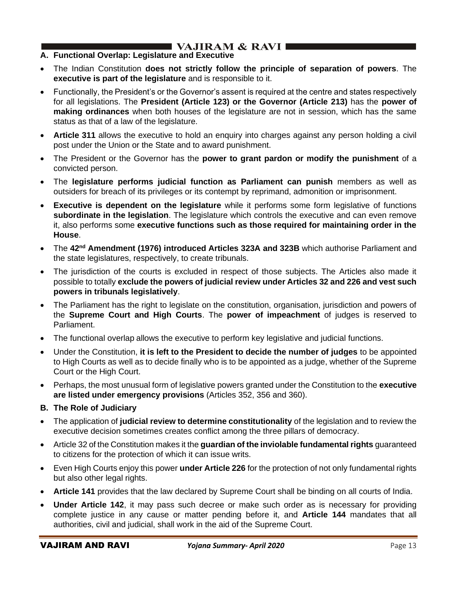## **A. Functional Overlap: Legislature and Executive**

- The Indian Constitution **does not strictly follow the principle of separation of powers**. The **executive is part of the legislature** and is responsible to it.
- Functionally, the President's or the Governor's assent is required at the centre and states respectively for all legislations. The **President (Article 123) or the Governor (Article 213)** has the **power of making ordinances** when both houses of the legislature are not in session, which has the same status as that of a law of the legislature.
- **Article 311** allows the executive to hold an enquiry into charges against any person holding a civil post under the Union or the State and to award punishment.
- The President or the Governor has the **power to grant pardon or modify the punishment** of a convicted person.
- The **legislature performs judicial function as Parliament can punish** members as well as outsiders for breach of its privileges or its contempt by reprimand, admonition or imprisonment.
- **Executive is dependent on the legislature** while it performs some form legislative of functions **subordinate in the legislation**. The legislature which controls the executive and can even remove it, also performs some **executive functions such as those required for maintaining order in the House**.
- The **42nd Amendment (1976) introduced Articles 323A and 323B** which authorise Parliament and the state legislatures, respectively, to create tribunals.
- The jurisdiction of the courts is excluded in respect of those subjects. The Articles also made it possible to totally **exclude the powers of judicial review under Articles 32 and 226 and vest such powers in tribunals legislatively**.
- The Parliament has the right to legislate on the constitution, organisation, jurisdiction and powers of the **Supreme Court and High Courts**. The **power of impeachment** of judges is reserved to Parliament.
- The functional overlap allows the executive to perform key legislative and judicial functions.
- Under the Constitution, **it is left to the President to decide the number of judges** to be appointed to High Courts as well as to decide finally who is to be appointed as a judge, whether of the Supreme Court or the High Court.
- Perhaps, the most unusual form of legislative powers granted under the Constitution to the **executive are listed under emergency provisions** (Articles 352, 356 and 360).
- **B. The Role of Judiciary**
- The application of **judicial review to determine constitutionality** of the legislation and to review the executive decision sometimes creates conflict among the three pillars of democracy.
- Article 32 of the Constitution makes it the **guardian of the inviolable fundamental rights** guaranteed to citizens for the protection of which it can issue writs.
- Even High Courts enjoy this power **under Article 226** for the protection of not only fundamental rights but also other legal rights.
- **Article 141** provides that the law declared by Supreme Court shall be binding on all courts of India.
- **Under Article 142**, it may pass such decree or make such order as is necessary for providing complete justice in any cause or matter pending before it, and **Article 144** mandates that all authorities, civil and judicial, shall work in the aid of the Supreme Court.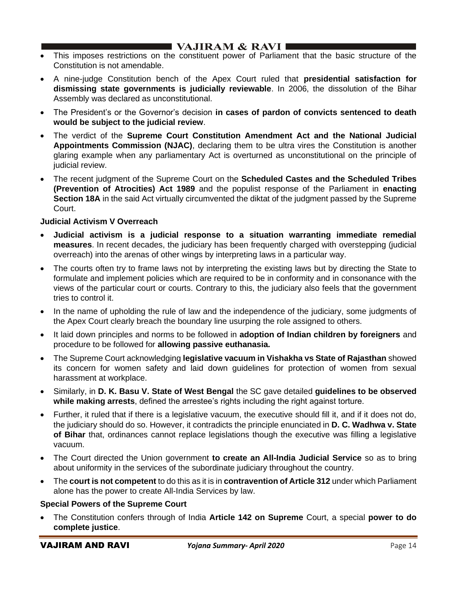- This imposes restrictions on the constituent power of Parliament that the basic structure of the Constitution is not amendable.
- A nine-judge Constitution bench of the Apex Court ruled that **presidential satisfaction for dismissing state governments is judicially reviewable**. In 2006, the dissolution of the Bihar Assembly was declared as unconstitutional.
- The President's or the Governor's decision **in cases of pardon of convicts sentenced to death would be subject to the judicial review**.
- The verdict of the **Supreme Court Constitution Amendment Act and the National Judicial Appointments Commission (NJAC)**, declaring them to be ultra vires the Constitution is another glaring example when any parliamentary Act is overturned as unconstitutional on the principle of judicial review.
- The recent judgment of the Supreme Court on the **Scheduled Castes and the Scheduled Tribes (Prevention of Atrocities) Act 1989** and the populist response of the Parliament in **enacting Section 18A** in the said Act virtually circumvented the diktat of the judgment passed by the Supreme Court.

## **Judicial Activism V Overreach**

- **Judicial activism is a judicial response to a situation warranting immediate remedial measures**. In recent decades, the judiciary has been frequently charged with overstepping (judicial overreach) into the arenas of other wings by interpreting laws in a particular way.
- The courts often try to frame laws not by interpreting the existing laws but by directing the State to formulate and implement policies which are required to be in conformity and in consonance with the views of the particular court or courts. Contrary to this, the judiciary also feels that the government tries to control it.
- In the name of upholding the rule of law and the independence of the judiciary, some judgments of the Apex Court clearly breach the boundary line usurping the role assigned to others.
- It laid down principles and norms to be followed in **adoption of Indian children by foreigners** and procedure to be followed for **allowing passive euthanasia.**
- The Supreme Court acknowledging **legislative vacuum in Vishakha vs State of Rajasthan** showed its concern for women safety and laid down guidelines for protection of women from sexual harassment at workplace.
- Similarly, in **D. K. Basu V. State of West Bengal** the SC gave detailed **guidelines to be observed while making arrests**, defined the arrestee's rights including the right against torture.
- Further, it ruled that if there is a legislative vacuum, the executive should fill it, and if it does not do, the judiciary should do so. However, it contradicts the principle enunciated in **D. C. Wadhwa v. State of Bihar** that, ordinances cannot replace legislations though the executive was filling a legislative vacuum.
- The Court directed the Union government **to create an All-India Judicial Service** so as to bring about uniformity in the services of the subordinate judiciary throughout the country.
- The **court is not competent** to do this as it is in **contravention of Article 312** under which Parliament alone has the power to create All-India Services by law.

#### **Special Powers of the Supreme Court**

• The Constitution confers through of India **Article 142 on Supreme** Court, a special **power to do complete justice**.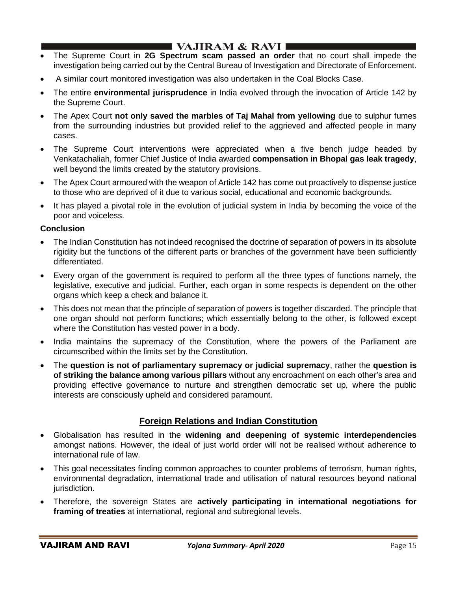# **I VAJIRAM & RAVI**  $\blacksquare$

- The Supreme Court in **2G Spectrum scam passed an order** that no court shall impede the investigation being carried out by the Central Bureau of Investigation and Directorate of Enforcement.
- A similar court monitored investigation was also undertaken in the Coal Blocks Case.
- The entire **environmental jurisprudence** in India evolved through the invocation of Article 142 by the Supreme Court.
- The Apex Court **not only saved the marbles of Taj Mahal from yellowing** due to sulphur fumes from the surrounding industries but provided relief to the aggrieved and affected people in many cases.
- The Supreme Court interventions were appreciated when a five bench judge headed by Venkatachaliah, former Chief Justice of India awarded **compensation in Bhopal gas leak tragedy**, well beyond the limits created by the statutory provisions.
- The Apex Court armoured with the weapon of Article 142 has come out proactively to dispense justice to those who are deprived of it due to various social, educational and economic backgrounds.
- It has played a pivotal role in the evolution of judicial system in India by becoming the voice of the poor and voiceless.

## **Conclusion**

- The Indian Constitution has not indeed recognised the doctrine of separation of powers in its absolute rigidity but the functions of the different parts or branches of the government have been sufficiently differentiated.
- Every organ of the government is required to perform all the three types of functions namely, the legislative, executive and judicial. Further, each organ in some respects is dependent on the other organs which keep a check and balance it.
- This does not mean that the principle of separation of powers is together discarded. The principle that one organ should not perform functions; which essentially belong to the other, is followed except where the Constitution has vested power in a body.
- India maintains the supremacy of the Constitution, where the powers of the Parliament are circumscribed within the limits set by the Constitution.
- The **question is not of parliamentary supremacy or judicial supremacy**, rather the **question is of striking the balance among various pillars** without any encroachment on each other's area and providing effective governance to nurture and strengthen democratic set up, where the public interests are consciously upheld and considered paramount.

## **Foreign Relations and Indian Constitution**

- Globalisation has resulted in the **widening and deepening of systemic interdependencies** amongst nations. However, the ideal of just world order will not be realised without adherence to international rule of law.
- This goal necessitates finding common approaches to counter problems of terrorism, human rights, environmental degradation, international trade and utilisation of natural resources beyond national jurisdiction.
- Therefore, the sovereign States are **actively participating in international negotiations for framing of treaties** at international, regional and subregional levels.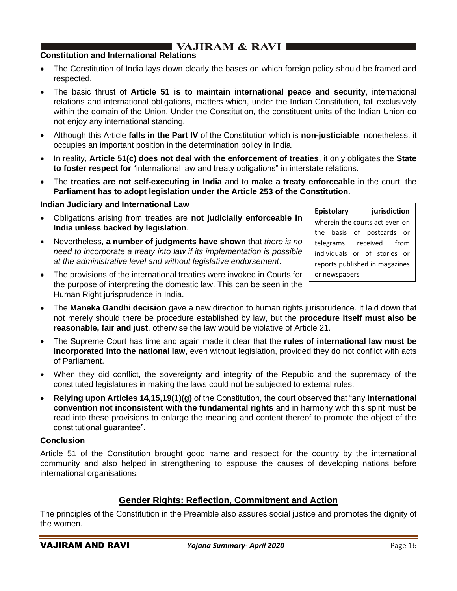# **I VAJIRAM & RAVI**

## **Constitution and International Relations**

- The Constitution of India lays down clearly the bases on which foreign policy should be framed and respected.
- The basic thrust of **Article 51 is to maintain international peace and security**, international relations and international obligations, matters which, under the Indian Constitution, fall exclusively within the domain of the Union. Under the Constitution, the constituent units of the Indian Union do not enjoy any international standing.
- Although this Article **falls in the Part IV** of the Constitution which is **non-justiciable**, nonetheless, it occupies an important position in the determination policy in India.
- In reality, **Article 51(c) does not deal with the enforcement of treaties**, it only obligates the **State to foster respect for** "international law and treaty obligations" in interstate relations.
- The **treaties are not self-executing in India** and to **make a treaty enforceable** in the court, the **Parliament has to adopt legislation under the Article 253 of the Constitution**.

## **Indian Judiciary and International Law**

- Obligations arising from treaties are **not judicially enforceable in India unless backed by legislation**.
- Nevertheless, **a number of judgments have shown** that *there is no need to incorporate a treaty into law if its implementation is possible at the administrative level and without legislative endorsement*.
- The provisions of the international treaties were invoked in Courts for the purpose of interpreting the domestic law. This can be seen in the Human Right jurisprudence in India.
- The **Maneka Gandhi decision** gave a new direction to human rights jurisprudence. It laid down that not merely should there be procedure established by law, but the **procedure itself must also be reasonable, fair and just**, otherwise the law would be violative of Article 21.
- The Supreme Court has time and again made it clear that the **rules of international law must be incorporated into the national law**, even without legislation, provided they do not conflict with acts of Parliament.
- When they did conflict, the sovereignty and integrity of the Republic and the supremacy of the constituted legislatures in making the laws could not be subjected to external rules.
- **Relying upon Articles 14,15,19(1)(g)** of the Constitution, the court observed that "any **international convention not inconsistent with the fundamental rights** and in harmony with this spirit must be read into these provisions to enlarge the meaning and content thereof to promote the object of the constitutional guarantee".

#### **Conclusion**

Article 51 of the Constitution brought good name and respect for the country by the international community and also helped in strengthening to espouse the causes of developing nations before international organisations.

## **Gender Rights: Reflection, Commitment and Action**

The principles of the Constitution in the Preamble also assures social justice and promotes the dignity of the women.

**Epistolary jurisdiction** wherein the courts act even on the basis of postcards or telegrams received from individuals or of stories or reports published in magazines

or newspapers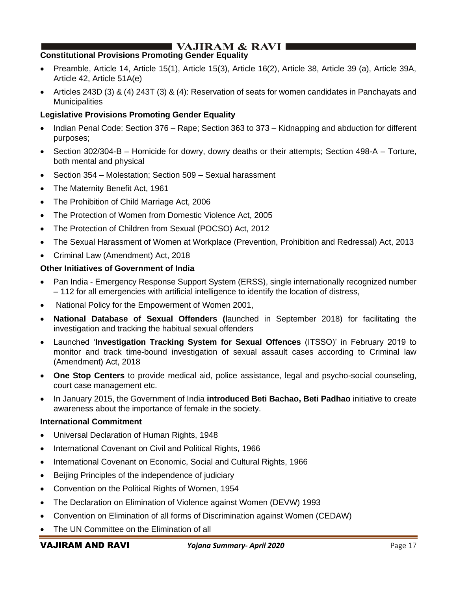# I VAJIRAM & RAVI ∎

## **Constitutional Provisions Promoting Gender Equality**

- Preamble, Article 14, Article 15(1), Article 15(3), Article 16(2), Article 38, Article 39 (a), Article 39A, Article 42, Article 51A(e)
- Articles 243D (3) & (4) 243T (3) & (4): Reservation of seats for women candidates in Panchayats and **Municipalities**

## **Legislative Provisions Promoting Gender Equality**

- Indian Penal Code: Section 376 Rape; Section 363 to 373 Kidnapping and abduction for different purposes;
- Section 302/304-B Homicide for dowry, dowry deaths or their attempts; Section 498-A Torture, both mental and physical
- Section 354 Molestation; Section 509 Sexual harassment
- The Maternity Benefit Act, 1961
- The Prohibition of Child Marriage Act, 2006
- The Protection of Women from Domestic Violence Act, 2005
- The Protection of Children from Sexual (POCSO) Act, 2012
- The Sexual Harassment of Women at Workplace (Prevention, Prohibition and Redressal) Act, 2013
- Criminal Law (Amendment) Act, 2018

#### **Other Initiatives of Government of India**

- Pan India Emergency Response Support System (ERSS), single internationally recognized number – 112 for all emergencies with artificial intelligence to identify the location of distress,
- National Policy for the Empowerment of Women 2001,
- **National Database of Sexual Offenders (**launched in September 2018) for facilitating the investigation and tracking the habitual sexual offenders
- Launched '**Investigation Tracking System for Sexual Offences** (ITSSO)' in February 2019 to monitor and track time-bound investigation of sexual assault cases according to Criminal law (Amendment) Act, 2018
- **One Stop Centers** to provide medical aid, police assistance, legal and psycho-social counseling, court case management etc.
- In January 2015, the Government of India **introduced Beti Bachao, Beti Padhao** initiative to create awareness about the importance of female in the society.

#### **International Commitment**

- Universal Declaration of Human Rights, 1948
- International Covenant on Civil and Political Rights, 1966
- International Covenant on Economic, Social and Cultural Rights, 1966
- Beijing Principles of the independence of judiciary
- Convention on the Political Rights of Women, 1954
- The Declaration on Elimination of Violence against Women (DEVW) 1993
- Convention on Elimination of all forms of Discrimination against Women (CEDAW)
- The UN Committee on the Elimination of all